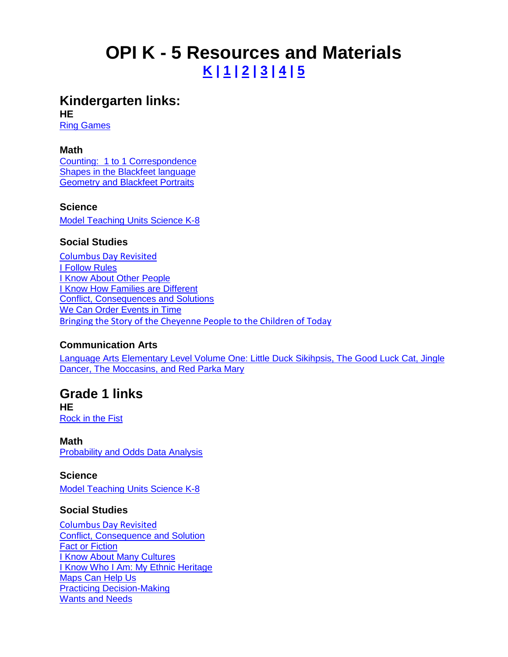# **OPI K - 5 Resources and Materials K | 1 | [2](#page-1-0) | [3](#page-1-0) [| 4](#page-2-0) [| 5](#page-3-0)**

#### **Kindergarten links: HE**

[Ring Games](http://opi.mt.gov/PDF/IndianEd/Search/Health%20Enhancement/GK%20Ring%20Games.pdf)

#### **Math**

[Counting: 1 to 1 Correspondence](http://opi.mt.gov/PDF/IndianEd/Search/Mathematics/GK%20Counting%201to1%20Corres.pdf) [Shapes in the Blackfeet language](http://opi.mt.gov/PDF/IndianEd/Search/Mathematics/GK%20Shapes%20in%20Blackfeet.pdf) **[Geometry and Blackfeet Portraits](http://opi.mt.gov/PDF/IndianEd/Search/Mathematics/GK%20Geometry%20and%20Blackfeet%20Portraits.pdf)** 

#### **Science**

[Model Teaching Units Science K-8](http://opi.mt.gov/PDF/IndianEd/Search/Science/G_K-8_All_Units.pdf)

#### **Social Studies**

[Columbus Day Revisited](http://opi.mt.gov/PDF/IndianEd/Resources/columbusdayrevisited.pdf) [I Follow Rules](http://opi.mt.gov/PDF/IndianEd/Search/Social%20Studies/GK%20I%20Follow%20Rules.pdf) [I Know About Other People](http://opi.mt.gov/PDF/IndianEd/Search/Social%20Studies/GK%20I%20Know%20About%20Other%20People.pdf) [I Know How Families are Different](http://opi.mt.gov/PDF/IndianEd/Search/Social%20Studies/GK%20I%20Know%20How%20Families%20are%20Different.pdf) [Conflict, Consequences and Solutions](http://opi.mt.gov/PDF/IndianEd/Search/Social%20Studies/G1%20Conflict%20Consequence.pdf) [We Can Order Events](http://opi.mt.gov/PDF/IndianEd/Search/Social%20Studies/GK%20We%20Can%20Order%20Events%20in%20Time.pdf) in Time [Bringing the Story of the Cheyenne People to the Children of Today](http://www.opi.mt.gov/pdf/IndianEd/Search/Social%20Studies/Bringing%20the%20Story%20of%20the%20Cheyenne%20People%20to%20the%20Children%20of%20Today.pdf)

#### **Communication Arts**

[Language Arts Elementary Level Volume One: Little Duck Sikihpsis, The Good Luck Cat, Jingle](http://opi.mt.gov/PDF/IndianEd/Search/Language%20Arts/Elementary_All_Units.pdf)  [Dancer, The Moccasins, and Red Parka Mary](http://opi.mt.gov/PDF/IndianEd/Search/Language%20Arts/Elementary_All_Units.pdf)

### **Grade 1 links**

**HE** [Rock in the Fist](http://opi.mt.gov/PDF/IndianEd/Search/Health%20Enhancement/G1%20Rock%20in%20the%20Fist.pdf)

**Math** [Probability and Odds Data Analysis](http://opi.mt.gov/Programs/IndianEd/curricsearch.html)

**Science** [Model Teaching Units Science K-8](http://opi.mt.gov/PDF/IndianEd/Search/Science/G_K-8_All_Units.pdf)

#### **Social Studies**

[Columbus Day Revisited](http://opi.mt.gov/PDF/IndianEd/Resources/columbusdayrevisited.pdf) [Conflict, Consequence and Solution](http://opi.mt.gov/PDF/IndianEd/Search/Social%20Studies/G1%20Conflict%20Consequence.pdf) [Fact or Fiction](http://opi.mt.gov/PDF/IndianEd/Search/Social%20Studies/G1%20Fact%20or%20Fiction.pdf) [I Know About Many Cultures](http://opi.mt.gov/PDF/IndianEd/Search/Social%20Studies/G1%20I%20Know%20About%20Many%20Cultures.pdf) [I Know Who I Am: My Ethnic Heritage](http://opi.mt.gov/PDF/IndianEd/Search/Social%20Studies/G1%20I%20Know%20About%20Many%20Cultures.pdf) [Maps Can Help Us](http://www.opi.mt.gov/pdf/IndianEd/Search/Social%20Studies/G1%20I%20know%20Who%20I%20Am.pdf) [Practicing Decision-Making](http://www.opi.mt.gov/pdf/IndianEd/Search/Social%20Studies/G1%20I%20know%20Who%20I%20Am.pdf) [Wants and Needs](http://opi.mt.gov/PDF/IndianEd/Search/Social%20Studies/G1%20Wants%20and%20Needs.pdf)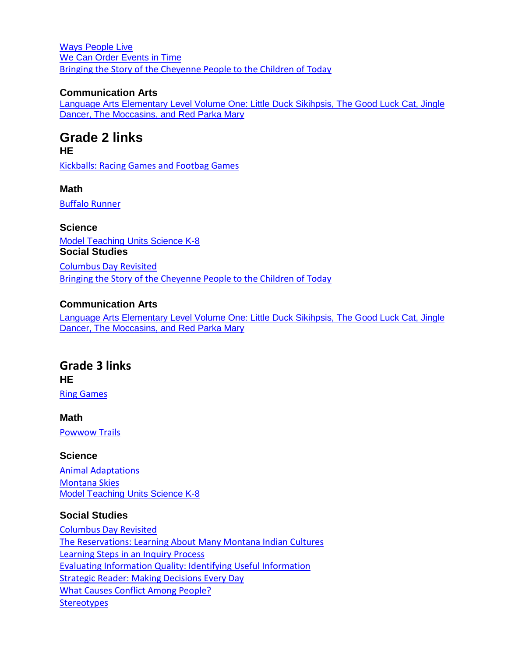<span id="page-1-0"></span>[Ways People Live](http://opi.mt.gov/PDF/IndianEd/Search/Social%20Studies/G1%20Ways%20People%20Live.pdf) [We Can Order Events in Time](http://opi.mt.gov/PDF/IndianEd/Search/Social%20Studies/G1%20We%20Can%20Order%20Events%20in%20Time.pdf) [Bringing the Story of the Cheyenne People to the Children of Today](http://www.opi.mt.gov/pdf/IndianEd/Search/Social%20Studies/Bringing%20the%20Story%20of%20the%20Cheyenne%20People%20to%20the%20Children%20of%20Today.pdf)

#### **Communication Arts**

[Language Arts Elementary Level Volume One: Little Duck Sikihpsis, The Good Luck Cat, Jingle](http://opi.mt.gov/PDF/IndianEd/Search/Language%20Arts/Elementary_All_Units.pdf)  [Dancer, The Moccasins, and Red Parka Mary](http://opi.mt.gov/PDF/IndianEd/Search/Language%20Arts/Elementary_All_Units.pdf) 

# **Grade 2 links**

**HE**

[Kickballs: Racing Games and Footbag Games](http://opi.mt.gov/PDF/IndianEd/Search/Health%20Enhancement/G2%20Racing%20%26%20Footbag%20Games.pdf)

**Math**

[Buffalo Runner](http://opi.mt.gov/PDF/IndianEd/Search/Mathematics/G%202%20Buffalo%20Runner.pdf)

**Science** [Model Teaching Units Science K-8](http://opi.mt.gov/PDF/IndianEd/Search/Science/G_K-8_All_Units.pdf) **Social Studies** [Columbus Day Revisited](http://opi.mt.gov/PDF/IndianEd/Resources/columbusdayrevisited.pdf) [Bringing the Story of the Cheyenne People to the Children of Today](http://www.opi.mt.gov/pdf/IndianEd/Search/Social%20Studies/Bringing%20the%20Story%20of%20the%20Cheyenne%20People%20to%20the%20Children%20of%20Today.pdf)

#### **Communication Arts**

[Language Arts Elementary Level Volume One: Little Duck Sikihpsis, The Good Luck Cat, Jingle](http://opi.mt.gov/PDF/IndianEd/Search/Language%20Arts/Elementary_All_Units.pdf)  [Dancer, The Moccasins, and Red Parka Mary](http://opi.mt.gov/PDF/IndianEd/Search/Language%20Arts/Elementary_All_Units.pdf)

# **Grade 3 links HE**

[Ring Games](http://opi.mt.gov/pub/PDF/IndianEd/Search/Health%20Enhancement/G3%20Ring%20Games.pdf)

**Math** [Powwow Trails](http://opi.mt.gov/PDF/IndianEd/Search/Mathematics/G%203%20Powwow%20Trails.pdf)

#### **Science**

[Animal Adaptations](http://opi.mt.gov/PDF/IndianEd/Search/Science/G%203%20Animal%20Adaptations.pdf) [Montana Skies](http://opi.mt.gov/PDF/IndianEd/Search/Science/G%203%20Montana%20Skies.pdf) [Model Teaching Units Science K-8](http://opi.mt.gov/PDF/IndianEd/Search/Science/G_K-8_All_Units.pdf)

#### **Social Studies**

[Columbus Day Revisited](http://opi.mt.gov/PDF/IndianEd/Resources/columbusdayrevisited.pdf) [The Reservations: Learning About Many Montana Indian Cultures](http://opi.mt.gov/PDF/IndianEd/Search/Social%20Studies/G3%20The%20Reservations.pdf) [Learning Steps in an Inquiry Process](http://opi.mt.gov/PDF/IndianEd/Search/Social%20Studies/G3%20Steps%20Inquiry%20Process.pdf) [Evaluating Information Quality: Identifying Useful Information](http://opi.mt.gov/PDF/IndianEd/Search/Social%20Studies/G3%20Steps%20Inquiry%20Process.pdf) [Strategic Reader: Making Decisions Every Day](http://opi.mt.gov/PDF/IndianEd/Search/Social%20Studies/G3%20Making%20DecisionsEveryDay.pdf) [What Causes Conflict Among People?](http://opi.mt.gov/PDF/IndianEd/Search/Social%20Studies/G3%20What%20Causes%20Conflicts.pdf) **[Stereotypes](http://opi.mt.gov/PDF/IndianEd/Search/Social%20Studies/G3%20Stereotypes.pdf)**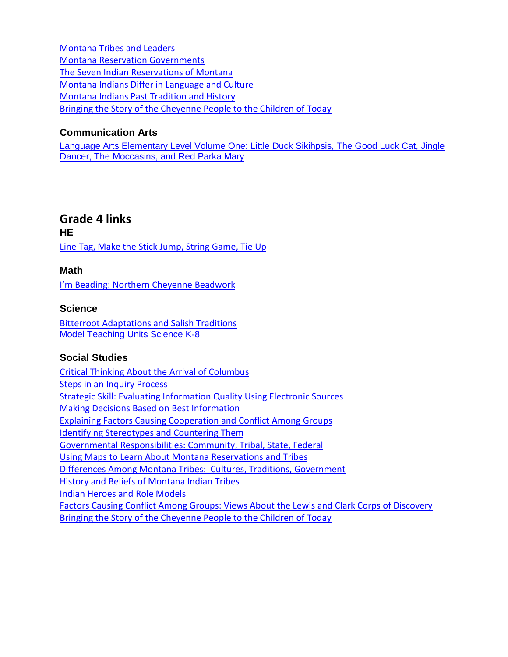<span id="page-2-0"></span>[Montana Tribes and Leaders](http://opi.mt.gov/PDF/IndianEd/Search/Social%20Studies/G3%20MT%20Tribes%20%26%20Leaders.pdf) [Montana Reservation Governments](http://opi.mt.gov/PDF/IndianEd/Search/Social%20Studies/G3%20MT%20Reservation%20Govment.pdf) [The Seven Indian Reservations of Montana](http://opi.mt.gov/PDF/IndianEd/Search/Social%20Studies/G3%20MT%20Seven%20Reservations.pdf) [Montana Indians Differ in Language and Culture](http://www.opi.mt.gov/pdf/IndianEd/Search/Social%20Studies/G3%20Differ%20in%20Lang%20Culture.pdf) [Montana Indians Past Tradition and History](http://opi.mt.gov/PDF/IndianEd/Search/Social%20Studies/G3%20Past%20Tradition%20%26%20Histry.pdf) [Bringing the Story of the Cheyenne People to the Children of Today](http://www.opi.mt.gov/pdf/IndianEd/Search/Social%20Studies/Bringing%20the%20Story%20of%20the%20Cheyenne%20People%20to%20the%20Children%20of%20Today.pdf)

#### **Communication Arts**

[Language Arts Elementary Level Volume One: Little Duck Sikihpsis, The Good Luck Cat, Jingle](http://opi.mt.gov/PDF/IndianEd/Search/Language%20Arts/Elementary_All_Units.pdf)  [Dancer, The Moccasins, and Red Parka Mary](http://opi.mt.gov/PDF/IndianEd/Search/Language%20Arts/Elementary_All_Units.pdf)

### **Grade 4 links**

**HE** [Line Tag, Make the Stick Jump, String Game, Tie](http://opi.mt.gov/PDF/IndianEd/Search/Health%20Enhancement/G4%20Line%20Tag.pdf) Up

#### **Math**

I'm [Beading: Northern Cheyenne Beadwork](http://opi.mt.gov/Programs/IndianEd/curricsearch.html)

#### **Science**

[Bitterroot Adaptations and](http://opi.mt.gov/PDF/IndianEd/Search/Science/G%204%20Bitterroot%20Adaptations.pdf) Salish Traditions [Model Teaching Units Science K-8](http://opi.mt.gov/PDF/IndianEd/Search/Science/G_K-8_All_Units.pdf)

#### **Social Studies**

[Critical Thinking About the](http://opi.mt.gov/PDF/IndianEd/Resources/CriticalThinking.pdf) Arrival of Columbus [Steps in an Inquiry Process](http://opi.mt.gov/PDF/IndianEd/Search/Social%20Studies/G4%20Steps%20Inquiry%20Process.pdf) [Strategic Skill: Evaluating Information Quality Using Electronic Sources](http://opi.mt.gov/PDF/IndianEd/Search/Social%20Studies/G4%20Evaluating%20Info%20Quality.pdf) [Making Decisions Based on Best Information](http://opi.mt.gov/PDF/IndianEd/Search/Social%20Studies/G4%20Make%20Decision_Best%20Info.pdf) [Explaining Factors Causing Cooperation and Conflict Among Groups](http://opi.mt.gov/PDF/IndianEd/Search/Social%20Studies/G4%20Factors%20Causing%20Conflct.pdf) [Identifying Stereotypes and Countering Them](http://opi.mt.gov/PDF/IndianEd/Search/Social%20Studies/G4%20Id%20Stereotypes%20and%20Counter.pdf) [Governmental Responsibilities: Community, Tribal, State, Federal](http://opi.mt.gov/PDF/IndianEd/Search/Social%20Studies/G4%20Government%20Responsiblty.pdf) [Using Maps to Learn About Montana Reservations and Tribes](http://opi.mt.gov/PDF/IndianEd/Search/Social%20Studies/G4%20Using%20Maps.pdf) [Differences Among Montana Tribes: Cultures, Traditions, Government](http://opi.mt.gov/PDF/IndianEd/Search/Social%20Studies/G4%20Using%20Maps.pdf) [History and Beliefs of Montana Indian Tribes](http://opi.mt.gov/PDF/IndianEd/Search/Social%20Studies/G4%20Using%20Maps.pdf) [Indian Heroes and Role Models](http://opi.mt.gov/PDF/IndianEd/Search/Social%20Studies/G4%20Indian%20Heroes.pdf) [Factors Causing Conflict Among Groups: Views About the Lewis and Clark Corps of Discovery](http://opi.mt.gov/PDF/IndianEd/Search/Social%20Studies/G5%20Qulty%20of%20Info-PointView.pdf) [Bringing the Story of the Cheyenne People to the Children of Today](http://www.opi.mt.gov/pdf/IndianEd/Search/Social%20Studies/Bringing%20the%20Story%20of%20the%20Cheyenne%20People%20to%20the%20Children%20of%20Today.pdf)